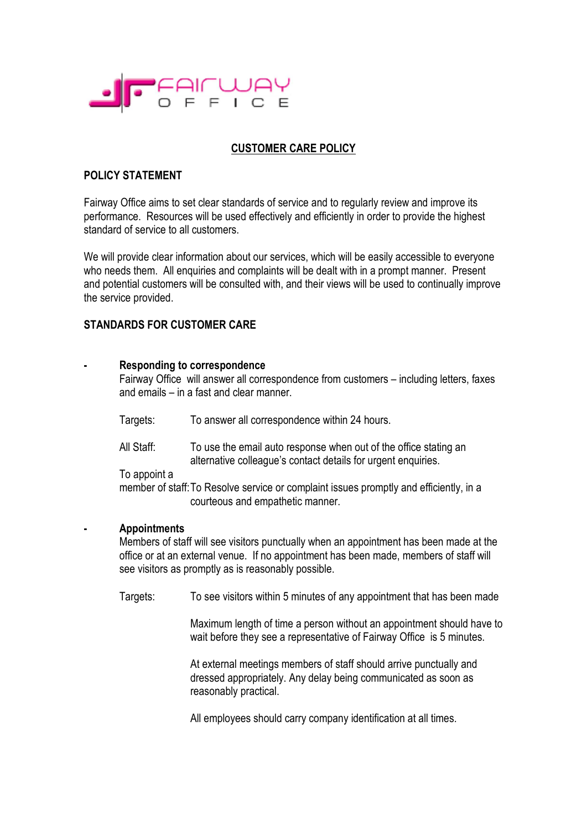

# **CUSTOMER CARE POLICY**

### **POLICY STATEMENT**

Fairway Office aims to set clear standards of service and to regularly review and improve its performance. Resources will be used effectively and efficiently in order to provide the highest standard of service to all customers.

We will provide clear information about our services, which will be easily accessible to everyone who needs them. All enquiries and complaints will be dealt with in a prompt manner. Present and potential customers will be consulted with, and their views will be used to continually improve the service provided.

## **STANDARDS FOR CUSTOMER CARE**

#### **- Responding to correspondence**

Fairway Office will answer all correspondence from customers – including letters, faxes and emails – in a fast and clear manner.

Targets: To answer all correspondence within 24 hours.

All Staff: To use the email auto response when out of the office stating an alternative colleague's contact details for urgent enquiries.

To appoint a

member of staff: To Resolve service or complaint issues promptly and efficiently, in a courteous and empathetic manner.

#### **- Appointments**

Members of staff will see visitors punctually when an appointment has been made at the office or at an external venue. If no appointment has been made, members of staff will see visitors as promptly as is reasonably possible.

Targets: To see visitors within 5 minutes of any appointment that has been made

Maximum length of time a person without an appointment should have to wait before they see a representative of Fairway Office is 5 minutes.

At external meetings members of staff should arrive punctually and dressed appropriately. Any delay being communicated as soon as reasonably practical.

All employees should carry company identification at all times.